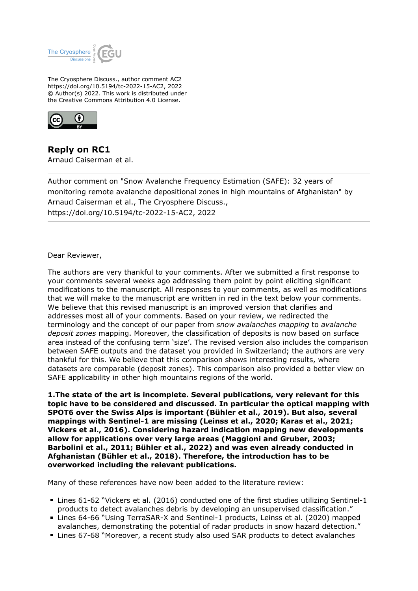

The Cryosphere Discuss., author comment AC2 https://doi.org/10.5194/tc-2022-15-AC2, 2022 © Author(s) 2022. This work is distributed under the Creative Commons Attribution 4.0 License.



**Reply on RC1** Arnaud Caiserman et al.

Author comment on "Snow Avalanche Frequency Estimation (SAFE): 32 years of monitoring remote avalanche depositional zones in high mountains of Afghanistan" by Arnaud Caiserman et al., The Cryosphere Discuss., https://doi.org/10.5194/tc-2022-15-AC2, 2022

Dear Reviewer,

The authors are very thankful to your comments. After we submitted a first response to your comments several weeks ago addressing them point by point eliciting significant modifications to the manuscript. All responses to your comments, as well as modifications that we will make to the manuscript are written in red in the text below your comments. We believe that this revised manuscript is an improved version that clarifies and addresses most all of your comments. Based on your review, we redirected the terminology and the concept of our paper from *snow avalanches mapping* to *avalanche deposit zones* mapping. Moreover, the classification of deposits is now based on surface area instead of the confusing term 'size'. The revised version also includes the comparison between SAFE outputs and the dataset you provided in Switzerland; the authors are very thankful for this. We believe that this comparison shows interesting results, where datasets are comparable (deposit zones). This comparison also provided a better view on SAFE applicability in other high mountains regions of the world.

**1.The state of the art is incomplete. Several publications, very relevant for this topic have to be considered and discussed. In particular the optical mapping with SPOT6 over the Swiss Alps is important (Bühler et al., 2019). But also, several mappings with Sentinel-1 are missing (Leinss et al., 2020; Karas et al., 2021; Vickers et al., 2016). Considering hazard indication mapping new developments allow for applications over very large areas (Maggioni and Gruber, 2003; Barbolini et al., 2011; Bühler et al., 2022) and was even already conducted in Afghanistan (Bühler et al., 2018). Therefore, the introduction has to be overworked including the relevant publications.**

Many of these references have now been added to the literature review:

- Lines 61-62 "Vickers et al. (2016) conducted one of the first studies utilizing Sentinel-1 products to detect avalanches debris by developing an unsupervised classification."
- Lines 64-66 "Using TerraSAR-X and Sentinel-1 products, Leinss et al. (2020) mapped avalanches, demonstrating the potential of radar products in snow hazard detection."
- Lines 67-68 "Moreover, a recent study also used SAR products to detect avalanches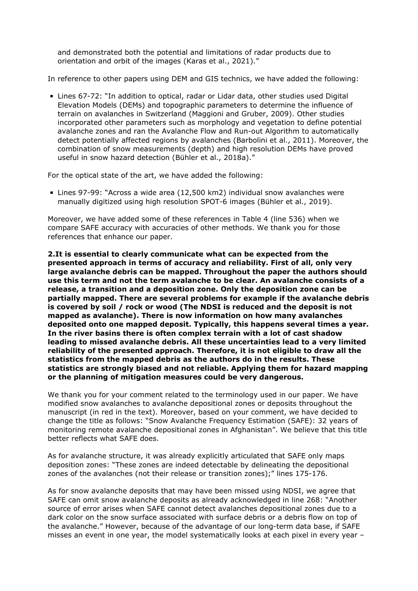and demonstrated both the potential and limitations of radar products due to orientation and orbit of the images (Karas et al., 2021)."

In reference to other papers using DEM and GIS technics, we have added the following:

Lines 67-72: "In addition to optical, radar or Lidar data, other studies used Digital Elevation Models (DEMs) and topographic parameters to determine the influence of terrain on avalanches in Switzerland (Maggioni and Gruber, 2009). Other studies incorporated other parameters such as morphology and vegetation to define potential avalanche zones and ran the Avalanche Flow and Run-out Algorithm to automatically detect potentially affected regions by avalanches (Barbolini et al., 2011). Moreover, the combination of snow measurements (depth) and high resolution DEMs have proved useful in snow hazard detection (Bühler et al., 2018a)."

For the optical state of the art, we have added the following:

Lines 97-99: "Across a wide area (12,500 km2) individual snow avalanches were manually digitized using high resolution SPOT-6 images (Bühler et al., 2019).

Moreover, we have added some of these references in Table 4 (line 536) when we compare SAFE accuracy with accuracies of other methods. We thank you for those references that enhance our paper.

**2.It is essential to clearly communicate what can be expected from the presented approach in terms of accuracy and reliability. First of all, only very large avalanche debris can be mapped. Throughout the paper the authors should use this term and not the term avalanche to be clear. An avalanche consists of a release, a transition and a deposition zone. Only the deposition zone can be partially mapped. There are several problems for example if the avalanche debris is covered by soil / rock or wood (The NDSI is reduced and the deposit is not mapped as avalanche). There is now information on how many avalanches deposited onto one mapped deposit. Typically, this happens several times a year. In the river basins there is often complex terrain with a lot of cast shadow leading to missed avalanche debris. All these uncertainties lead to a very limited reliability of the presented approach. Therefore, it is not eligible to draw all the statistics from the mapped debris as the authors do in the results. These statistics are strongly biased and not reliable. Applying them for hazard mapping or the planning of mitigation measures could be very dangerous.**

We thank you for your comment related to the terminology used in our paper. We have modified snow avalanches to avalanche depositional zones or deposits throughout the manuscript (in red in the text). Moreover, based on your comment, we have decided to change the title as follows: "Snow Avalanche Frequency Estimation (SAFE): 32 years of monitoring remote avalanche depositional zones in Afghanistan". We believe that this title better reflects what SAFE does.

As for avalanche structure, it was already explicitly articulated that SAFE only maps deposition zones: "These zones are indeed detectable by delineating the depositional zones of the avalanches (not their release or transition zones);" lines 175-176.

As for snow avalanche deposits that may have been missed using NDSI, we agree that SAFE can omit snow avalanche deposits as already acknowledged in line 268: "Another source of error arises when SAFE cannot detect avalanches depositional zones due to a dark color on the snow surface associated with surface debris or a debris flow on top of the avalanche." However, because of the advantage of our long-term data base, if SAFE misses an event in one year, the model systematically looks at each pixel in every year –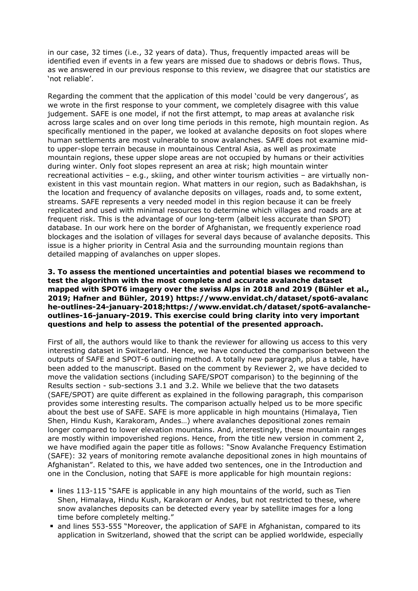in our case, 32 times (i.e., 32 years of data). Thus, frequently impacted areas will be identified even if events in a few years are missed due to shadows or debris flows. Thus, as we answered in our previous response to this review, we disagree that our statistics are 'not reliable'.

Regarding the comment that the application of this model 'could be very dangerous', as we wrote in the first response to your comment, we completely disagree with this value judgement. SAFE is one model, if not the first attempt, to map areas at avalanche risk across large scales and on over long time periods in this remote, high mountain region. As specifically mentioned in the paper, we looked at avalanche deposits on foot slopes where human settlements are most vulnerable to snow avalanches. SAFE does not examine midto upper-slope terrain because in mountainous Central Asia, as well as proximate mountain regions, these upper slope areas are not occupied by humans or their activities during winter. Only foot slopes represent an area at risk; high mountain winter recreational activities – e.g., skiing, and other winter tourism activities – are virtually nonexistent in this vast mountain region. What matters in our region, such as Badakhshan, is the location and frequency of avalanche deposits on villages, roads and, to some extent, streams. SAFE represents a very needed model in this region because it can be freely replicated and used with minimal resources to determine which villages and roads are at frequent risk. This is the advantage of our long-term (albeit less accurate than SPOT) database. In our work here on the border of Afghanistan, we frequently experience road blockages and the isolation of villages for several days because of avalanche deposits. This issue is a higher priority in Central Asia and the surrounding mountain regions than detailed mapping of avalanches on upper slopes.

## **3. To assess the mentioned uncertainties and potential biases we recommend to test the algorithm with the most complete and accurate avalanche dataset mapped with SPOT6 imagery over the swiss Alps in 2018 and 2019 (Bühler et al., 2019; Hafner and Bühler, 2019) https://www.envidat.ch/dataset/spot6-avalanc he-outlines-24-january-2018;https://www.envidat.ch/dataset/spot6-avalancheoutlines-16-january-2019. This exercise could bring clarity into very important questions and help to assess the potential of the presented approach.**

First of all, the authors would like to thank the reviewer for allowing us access to this very interesting dataset in Switzerland. Hence, we have conducted the comparison between the outputs of SAFE and SPOT-6 outlining method. A totally new paragraph, plus a table, have been added to the manuscript. Based on the comment by Reviewer 2, we have decided to move the validation sections (including SAFE/SPOT comparison) to the beginning of the Results section - sub-sections 3.1 and 3.2. While we believe that the two datasets (SAFE/SPOT) are quite different as explained in the following paragraph, this comparison provides some interesting results. The comparison actually helped us to be more specific about the best use of SAFE. SAFE is more applicable in high mountains (Himalaya, Tien Shen, Hindu Kush, Karakoram, Andes…) where avalanches depositional zones remain longer compared to lower elevation mountains. And, interestingly, these mountain ranges are mostly within impoverished regions. Hence, from the title new version in comment 2, we have modified again the paper title as follows: "Snow Avalanche Frequency Estimation (SAFE): 32 years of monitoring remote avalanche depositional zones in high mountains of Afghanistan". Related to this, we have added two sentences, one in the Introduction and one in the Conclusion, noting that SAFE is more applicable for high mountain regions:

- lines 113-115 "SAFE is applicable in any high mountains of the world, such as Tien Shen, Himalaya, Hindu Kush, Karakoram or Andes, but not restricted to these, where snow avalanches deposits can be detected every year by satellite images for a long time before completely melting."
- and lines 553-555 "Moreover, the application of SAFE in Afghanistan, compared to its application in Switzerland, showed that the script can be applied worldwide, especially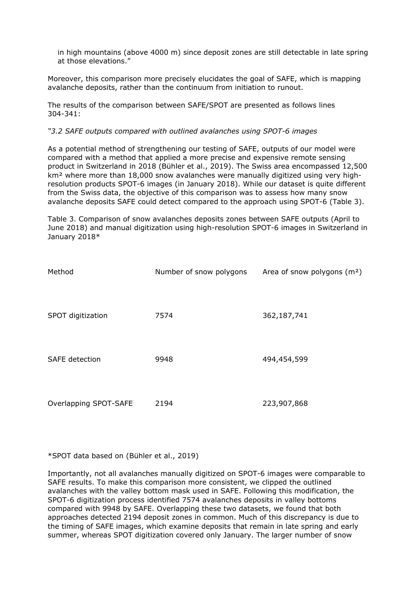in high mountains (above 4000 m) since deposit zones are still detectable in late spring at those elevations."

Moreover, this comparison more precisely elucidates the goal of SAFE, which is mapping avalanche deposits, rather than the continuum from initiation to runout.

The results of the comparison between SAFE/SPOT are presented as follows lines 304-341:

#### *"3.2 SAFE outputs compared with outlined avalanches using SPOT-6 images*

As a potential method of strengthening our testing of SAFE, outputs of our model were compared with a method that applied a more precise and expensive remote sensing product in Switzerland in 2018 (Bühler et al., 2019). The Swiss area encompassed 12,500 km<sup>2</sup> where more than 18,000 snow avalanches were manually digitized using very highresolution products SPOT-6 images (in January 2018). While our dataset is quite different from the Swiss data, the objective of this comparison was to assess how many snow avalanche deposits SAFE could detect compared to the approach using SPOT-6 (Table 3).

Table 3. Comparison of snow avalanches deposits zones between SAFE outputs (April to June 2018) and manual digitization using high-resolution SPOT-6 images in Switzerland in January 2018\*

| Method                | Number of snow polygons | Area of snow polygons (m <sup>2</sup> ) |
|-----------------------|-------------------------|-----------------------------------------|
| SPOT digitization     | 7574                    | 362,187,741                             |
| <b>SAFE</b> detection | 9948                    | 494,454,599                             |
| Overlapping SPOT-SAFE | 2194                    | 223,907,868                             |

\*SPOT data based on (Bühler et al., 2019)

Importantly, not all avalanches manually digitized on SPOT-6 images were comparable to SAFE results. To make this comparison more consistent, we clipped the outlined avalanches with the valley bottom mask used in SAFE. Following this modification, the SPOT-6 digitization process identified 7574 avalanches deposits in valley bottoms compared with 9948 by SAFE. Overlapping these two datasets, we found that both approaches detected 2194 deposit zones in common. Much of this discrepancy is due to the timing of SAFE images, which examine deposits that remain in late spring and early summer, whereas SPOT digitization covered only January. The larger number of snow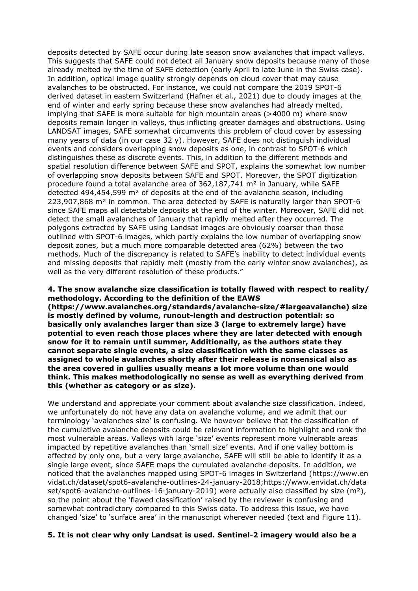deposits detected by SAFE occur during late season snow avalanches that impact valleys. This suggests that SAFE could not detect all January snow deposits because many of those already melted by the time of SAFE detection (early April to late June in the Swiss case). In addition, optical image quality strongly depends on cloud cover that may cause avalanches to be obstructed. For instance, we could not compare the 2019 SPOT-6 derived dataset in eastern Switzerland (Hafner et al., 2021) due to cloudy images at the end of winter and early spring because these snow avalanches had already melted, implying that SAFE is more suitable for high mountain areas (>4000 m) where snow deposits remain longer in valleys, thus inflicting greater damages and obstructions. Using LANDSAT images, SAFE somewhat circumvents this problem of cloud cover by assessing many years of data (in our case 32 y). However, SAFE does not distinguish individual events and considers overlapping snow deposits as one, in contrast to SPOT-6 which distinguishes these as discrete events. This, in addition to the different methods and spatial resolution difference between SAFE and SPOT, explains the somewhat low number of overlapping snow deposits between SAFE and SPOT. Moreover, the SPOT digitization procedure found a total avalanche area of 362,187,741 m² in January, while SAFE detected 494,454,599 m² of deposits at the end of the avalanche season, including 223,907,868 m² in common. The area detected by SAFE is naturally larger than SPOT-6 since SAFE maps all detectable deposits at the end of the winter. Moreover, SAFE did not detect the small avalanches of January that rapidly melted after they occurred. The polygons extracted by SAFE using Landsat images are obviously coarser than those outlined with SPOT-6 images, which partly explains the low number of overlapping snow deposit zones, but a much more comparable detected area (62%) between the two methods. Much of the discrepancy is related to SAFE's inability to detect individual events and missing deposits that rapidly melt (mostly from the early winter snow avalanches), as well as the very different resolution of these products."

## **4. The snow avalanche size classification is totally flawed with respect to reality/ methodology. According to the definition of the EAWS**

**(https://www.avalanches.org/standards/avalanche-size/#largeavalanche) size is mostly defined by volume, runout-length and destruction potential: so basically only avalanches larger than size 3 (large to extremely large) have potential to even reach those places where they are later detected with enough snow for it to remain until summer, Additionally, as the authors state they cannot separate single events, a size classification with the same classes as assigned to whole avalanches shortly after their release is nonsensical also as the area covered in gullies usually means a lot more volume than one would think. This makes methodologically no sense as well as everything derived from this (whether as category or as size).**

We understand and appreciate your comment about avalanche size classification. Indeed, we unfortunately do not have any data on avalanche volume, and we admit that our terminology 'avalanches size' is confusing. We however believe that the classification of the cumulative avalanche deposits could be relevant information to highlight and rank the most vulnerable areas. Valleys with large 'size' events represent more vulnerable areas impacted by repetitive avalanches than 'small size' events. And if one valley bottom is affected by only one, but a very large avalanche, SAFE will still be able to identify it as a single large event, since SAFE maps the cumulated avalanche deposits. In addition, we noticed that the avalanches mapped using SPOT-6 images in Switzerland (https://www.en vidat.ch/dataset/spot6-avalanche-outlines-24-january-2018;https://www.envidat.ch/data set/spot6-avalanche-outlines-16-january-2019) were actually also classified by size  $(m^2)$ , so the point about the 'flawed classification' raised by the reviewer is confusing and somewhat contradictory compared to this Swiss data. To address this issue, we have changed 'size' to 'surface area' in the manuscript wherever needed (text and Figure 11).

### **5. It is not clear why only Landsat is used. Sentinel-2 imagery would also be a**